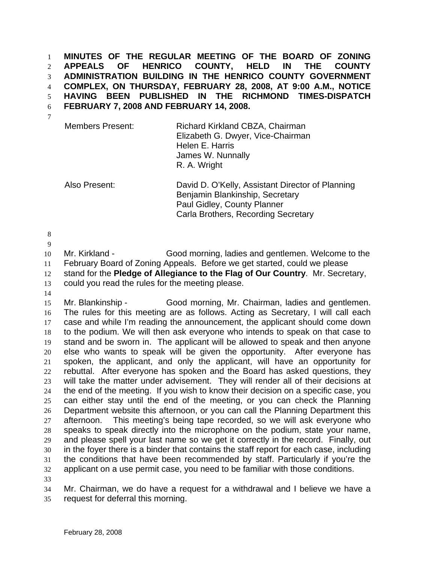**MINUTES OF THE REGULAR MEETING OF THE BOARD OF ZONING APPEALS OF HENRICO COUNTY, HELD IN THE COUNTY ADMINISTRATION BUILDING IN THE HENRICO COUNTY GOVERNMENT COMPLEX, ON THURSDAY, FEBRUARY 28, 2008, AT 9:00 A.M., NOTICE HAVING BEEN PUBLISHED IN THE RICHMOND TIMES-DISPATCH FEBRUARY 7, 2008 AND FEBRUARY 14, 2008.**  1 2 3 4 5 6

7

Members Present: Richard Kirkland CBZA, Chairman Elizabeth G. Dwyer, Vice-Chairman Helen E. Harris James W. Nunnally R. A. Wright

Also Present: David D. O'Kelly, Assistant Director of Planning Benjamin Blankinship, Secretary Paul Gidley, County Planner Carla Brothers, Recording Secretary

8

9

10 11 12 13 Mr. Kirkland - Good morning, ladies and gentlemen. Welcome to the February Board of Zoning Appeals. Before we get started, could we please stand for the **Pledge of Allegiance to the Flag of Our Country**. Mr. Secretary, could you read the rules for the meeting please.

14

15 16 17 18 19 20 21 22 23 24 25 26 27 28 29 30 31 32 33 Mr. Blankinship - Good morning, Mr. Chairman, ladies and gentlemen. The rules for this meeting are as follows. Acting as Secretary, I will call each case and while I'm reading the announcement, the applicant should come down to the podium. We will then ask everyone who intends to speak on that case to stand and be sworn in. The applicant will be allowed to speak and then anyone else who wants to speak will be given the opportunity. After everyone has spoken, the applicant, and only the applicant, will have an opportunity for rebuttal. After everyone has spoken and the Board has asked questions, they will take the matter under advisement. They will render all of their decisions at the end of the meeting. If you wish to know their decision on a specific case, you can either stay until the end of the meeting, or you can check the Planning Department website this afternoon, or you can call the Planning Department this afternoon. This meeting's being tape recorded, so we will ask everyone who speaks to speak directly into the microphone on the podium, state your name, and please spell your last name so we get it correctly in the record. Finally, out in the foyer there is a binder that contains the staff report for each case, including the conditions that have been recommended by staff. Particularly if you're the applicant on a use permit case, you need to be familiar with those conditions.

34 35 Mr. Chairman, we do have a request for a withdrawal and I believe we have a request for deferral this morning.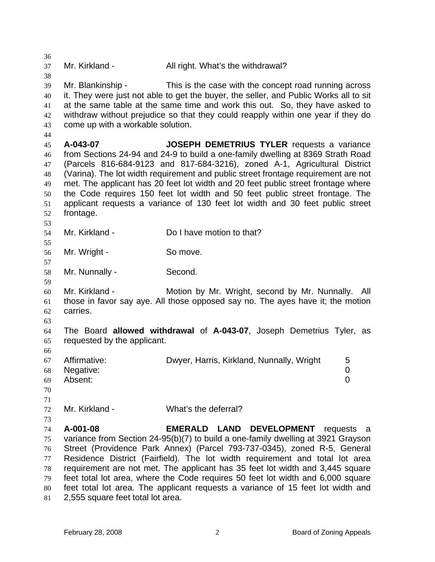| 36<br>37<br>38                                     | Mr. Kirkland -                                         | All right. What's the withdrawal?                                                                                                                                                                                                                                                                                                                                                                                                                                                                                                                              |     |
|----------------------------------------------------|--------------------------------------------------------|----------------------------------------------------------------------------------------------------------------------------------------------------------------------------------------------------------------------------------------------------------------------------------------------------------------------------------------------------------------------------------------------------------------------------------------------------------------------------------------------------------------------------------------------------------------|-----|
| 39<br>40<br>41<br>42<br>43<br>44                   | Mr. Blankinship -<br>come up with a workable solution. | This is the case with the concept road running across<br>it. They were just not able to get the buyer, the seller, and Public Works all to sit<br>at the same table at the same time and work this out. So, they have asked to<br>withdraw without prejudice so that they could reapply within one year if they do                                                                                                                                                                                                                                             |     |
| 45<br>46<br>47<br>48<br>49<br>50<br>51<br>52<br>53 | A-043-07<br>frontage.                                  | JOSEPH DEMETRIUS TYLER requests a variance<br>from Sections 24-94 and 24-9 to build a one-family dwelling at 8369 Strath Road<br>(Parcels 816-684-9123 and 817-684-3216), zoned A-1, Agricultural District<br>(Varina). The lot width requirement and public street frontage requirement are not<br>met. The applicant has 20 feet lot width and 20 feet public street frontage where<br>the Code requires 150 feet lot width and 50 feet public street frontage. The<br>applicant requests a variance of 130 feet lot width and 30 feet public street         |     |
| 54<br>55                                           | Mr. Kirkland -                                         | Do I have motion to that?                                                                                                                                                                                                                                                                                                                                                                                                                                                                                                                                      |     |
| 56<br>57                                           | Mr. Wright -                                           | So move.                                                                                                                                                                                                                                                                                                                                                                                                                                                                                                                                                       |     |
| 58<br>59                                           | Mr. Nunnally -                                         | Second.                                                                                                                                                                                                                                                                                                                                                                                                                                                                                                                                                        |     |
| 60<br>61<br>62<br>63                               | Mr. Kirkland -<br>carries.                             | Motion by Mr. Wright, second by Mr. Nunnally.<br>those in favor say aye. All those opposed say no. The ayes have it; the motion                                                                                                                                                                                                                                                                                                                                                                                                                                | All |
| 64<br>65                                           | requested by the applicant.                            | The Board allowed withdrawal of A-043-07, Joseph Demetrius Tyler, as                                                                                                                                                                                                                                                                                                                                                                                                                                                                                           |     |
| 66<br>67<br>68<br>69<br>70                         | Affirmative:<br>Negative:<br>Absent:                   | Dwyer, Harris, Kirkland, Nunnally, Wright<br>5<br>0<br>0                                                                                                                                                                                                                                                                                                                                                                                                                                                                                                       |     |
| 71<br>72                                           | Mr. Kirkland -                                         | What's the deferral?                                                                                                                                                                                                                                                                                                                                                                                                                                                                                                                                           |     |
| 73<br>74<br>75<br>76<br>77<br>78<br>79<br>80<br>81 | A-001-08<br>2,555 square feet total lot area.          | <b>EMERALD LAND</b><br><b>DEVELOPMENT</b><br>requests a<br>variance from Section 24-95(b)(7) to build a one-family dwelling at 3921 Grayson<br>Street (Providence Park Annex) (Parcel 793-737-0345), zoned R-5, General<br>Residence District (Fairfield). The lot width requirement and total lot area<br>requirement are not met. The applicant has 35 feet lot width and 3,445 square<br>feet total lot area, where the Code requires 50 feet lot width and 6,000 square<br>feet total lot area. The applicant requests a variance of 15 feet lot width and |     |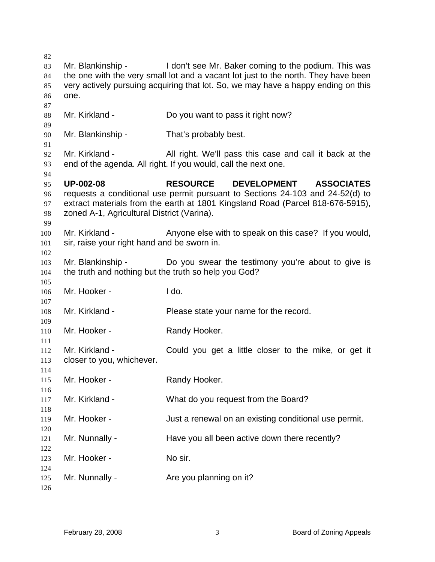| I don't see Mr. Baker coming to the podium. This was<br>the one with the very small lot and a vacant lot just to the north. They have been<br>very actively pursuing acquiring that lot. So, we may have a happy ending on this<br>All right. We'll pass this case and call it back at the<br>DEVELOPMENT ASSOCIATES<br>requests a conditional use permit pursuant to Sections 24-103 and 24-52(d) to |
|-------------------------------------------------------------------------------------------------------------------------------------------------------------------------------------------------------------------------------------------------------------------------------------------------------------------------------------------------------------------------------------------------------|
|                                                                                                                                                                                                                                                                                                                                                                                                       |
|                                                                                                                                                                                                                                                                                                                                                                                                       |
|                                                                                                                                                                                                                                                                                                                                                                                                       |
|                                                                                                                                                                                                                                                                                                                                                                                                       |
|                                                                                                                                                                                                                                                                                                                                                                                                       |
|                                                                                                                                                                                                                                                                                                                                                                                                       |
|                                                                                                                                                                                                                                                                                                                                                                                                       |
|                                                                                                                                                                                                                                                                                                                                                                                                       |
|                                                                                                                                                                                                                                                                                                                                                                                                       |
|                                                                                                                                                                                                                                                                                                                                                                                                       |
|                                                                                                                                                                                                                                                                                                                                                                                                       |
|                                                                                                                                                                                                                                                                                                                                                                                                       |
|                                                                                                                                                                                                                                                                                                                                                                                                       |
| extract materials from the earth at 1801 Kingsland Road (Parcel 818-676-5915),                                                                                                                                                                                                                                                                                                                        |
|                                                                                                                                                                                                                                                                                                                                                                                                       |
|                                                                                                                                                                                                                                                                                                                                                                                                       |
| Anyone else with to speak on this case? If you would,                                                                                                                                                                                                                                                                                                                                                 |
|                                                                                                                                                                                                                                                                                                                                                                                                       |
|                                                                                                                                                                                                                                                                                                                                                                                                       |
| Do you swear the testimony you're about to give is                                                                                                                                                                                                                                                                                                                                                    |
|                                                                                                                                                                                                                                                                                                                                                                                                       |
|                                                                                                                                                                                                                                                                                                                                                                                                       |
|                                                                                                                                                                                                                                                                                                                                                                                                       |
|                                                                                                                                                                                                                                                                                                                                                                                                       |
|                                                                                                                                                                                                                                                                                                                                                                                                       |
|                                                                                                                                                                                                                                                                                                                                                                                                       |
|                                                                                                                                                                                                                                                                                                                                                                                                       |
|                                                                                                                                                                                                                                                                                                                                                                                                       |
| Could you get a little closer to the mike, or get it                                                                                                                                                                                                                                                                                                                                                  |
|                                                                                                                                                                                                                                                                                                                                                                                                       |
|                                                                                                                                                                                                                                                                                                                                                                                                       |
|                                                                                                                                                                                                                                                                                                                                                                                                       |
|                                                                                                                                                                                                                                                                                                                                                                                                       |
|                                                                                                                                                                                                                                                                                                                                                                                                       |
| Just a renewal on an existing conditional use permit.                                                                                                                                                                                                                                                                                                                                                 |
|                                                                                                                                                                                                                                                                                                                                                                                                       |
| Have you all been active down there recently?                                                                                                                                                                                                                                                                                                                                                         |
|                                                                                                                                                                                                                                                                                                                                                                                                       |
|                                                                                                                                                                                                                                                                                                                                                                                                       |
|                                                                                                                                                                                                                                                                                                                                                                                                       |
|                                                                                                                                                                                                                                                                                                                                                                                                       |
|                                                                                                                                                                                                                                                                                                                                                                                                       |
|                                                                                                                                                                                                                                                                                                                                                                                                       |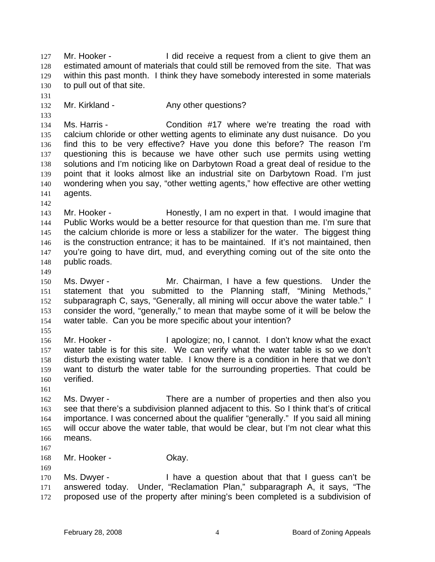Mr. Hooker - The I did receive a request from a client to give them an estimated amount of materials that could still be removed from the site. That was within this past month. I think they have somebody interested in some materials to pull out of that site. 127 128 129 130

- 131 132 133
- Mr. Kirkland The Any other questions?

134 135 136 137 138 139 140 141 Ms. Harris - The Condition #17 where we're treating the road with calcium chloride or other wetting agents to eliminate any dust nuisance. Do you find this to be very effective? Have you done this before? The reason I'm questioning this is because we have other such use permits using wetting solutions and I'm noticing like on Darbytown Road a great deal of residue to the point that it looks almost like an industrial site on Darbytown Road. I'm just wondering when you say, "other wetting agents," how effective are other wetting agents.

142

143 144 145 146 147 148 Mr. Hooker - Honestly, I am no expert in that. I would imagine that Public Works would be a better resource for that question than me. I'm sure that the calcium chloride is more or less a stabilizer for the water. The biggest thing is the construction entrance; it has to be maintained. If it's not maintained, then you're going to have dirt, mud, and everything coming out of the site onto the public roads.

149

150 151 152 153 154 Ms. Dwyer - The Mr. Chairman, I have a few questions. Under the statement that you submitted to the Planning staff, "Mining Methods," subparagraph C, says, "Generally, all mining will occur above the water table." I consider the word, "generally," to mean that maybe some of it will be below the water table. Can you be more specific about your intention?

155

156 157 158 159 160 Mr. Hooker - I apologize; no, I cannot. I don't know what the exact water table is for this site. We can verify what the water table is so we don't disturb the existing water table. I know there is a condition in here that we don't want to disturb the water table for the surrounding properties. That could be verified.

161

162 163 164 165 166 Ms. Dwyer - There are a number of properties and then also you see that there's a subdivision planned adjacent to this. So I think that's of critical importance. I was concerned about the qualifier "generally." If you said all mining will occur above the water table, that would be clear, but I'm not clear what this means.

167

169

168 Mr. Hooker - **Okay.** 

170 171 172 Ms. Dwyer - I have a question about that that I guess can't be answered today. Under, "Reclamation Plan," subparagraph A, it says, "The proposed use of the property after mining's been completed is a subdivision of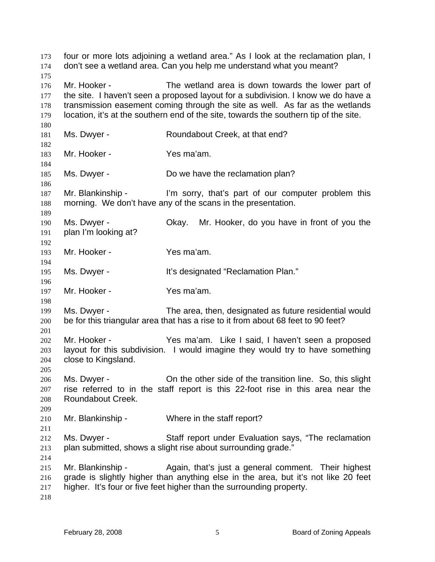four or more lots adjoining a wetland area." As I look at the reclamation plan, I don't see a wetland area. Can you help me understand what you meant? 173 174 175 176 177 178 179 180 181 182 183 184 185 186 187 188 189 190 191 192 193 194 195 196 197 198 199 200 201 202 203 204 205 206 207 208 209 210 211 212 213 214 215 216 217 218 Mr. Hooker - The wetland area is down towards the lower part of the site. I haven't seen a proposed layout for a subdivision. I know we do have a transmission easement coming through the site as well. As far as the wetlands location, it's at the southern end of the site, towards the southern tip of the site. Ms. Dwyer - **Roundabout Creek, at that end?** Mr. Hooker - Yes ma'am. Ms. Dwyer - Do we have the reclamation plan? Mr. Blankinship - I'm sorry, that's part of our computer problem this morning. We don't have any of the scans in the presentation. Ms. Dwyer - Okay. Mr. Hooker, do you have in front of you the plan I'm looking at? Mr. Hooker - Yes ma'am. Ms. Dwyer - The Music of the It's designated "Reclamation Plan." Mr. Hooker - Yes ma'am. Ms. Dwyer - The area, then, designated as future residential would be for this triangular area that has a rise to it from about 68 feet to 90 feet? Mr. Hooker - Yes ma'am. Like I said, I haven't seen a proposed layout for this subdivision. I would imagine they would try to have something close to Kingsland. Ms. Dwyer - Christian by the other side of the transition line. So, this slight rise referred to in the staff report is this 22-foot rise in this area near the Roundabout Creek. Mr. Blankinship - Where in the staff report? Ms. Dwyer - Staff report under Evaluation says, "The reclamation plan submitted, shows a slight rise about surrounding grade." Mr. Blankinship - Again, that's just a general comment. Their highest grade is slightly higher than anything else in the area, but it's not like 20 feet higher. It's four or five feet higher than the surrounding property.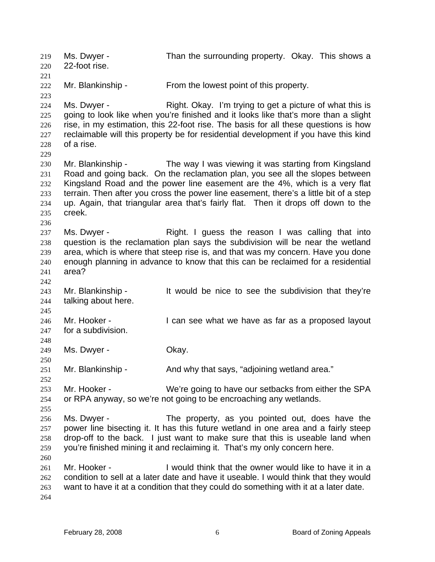Ms. Dwyer - Than the surrounding property. Okay. This shows a 22-foot rise. 219 220 221 222 223 224 225 226 227 228 229 230 231 232 233 234 235 236 237 238 239 240 241 242 243 244 245 246 247 248 249 250 251 252 253 254 255 256 257 258 259 260 261 262 263 264 Mr. Blankinship - From the lowest point of this property. Ms. Dwyer - Right. Okay. I'm trying to get a picture of what this is going to look like when you're finished and it looks like that's more than a slight rise, in my estimation, this 22-foot rise. The basis for all these questions is how reclaimable will this property be for residential development if you have this kind of a rise. Mr. Blankinship - The way I was viewing it was starting from Kingsland Road and going back. On the reclamation plan, you see all the slopes between Kingsland Road and the power line easement are the 4%, which is a very flat terrain. Then after you cross the power line easement, there's a little bit of a step up. Again, that triangular area that's fairly flat. Then it drops off down to the creek. Ms. Dwyer - The Right. I guess the reason I was calling that into question is the reclamation plan says the subdivision will be near the wetland area, which is where that steep rise is, and that was my concern. Have you done enough planning in advance to know that this can be reclaimed for a residential area? Mr. Blankinship - It would be nice to see the subdivision that they're talking about here. Mr. Hooker - The State of I can see what we have as far as a proposed layout for a subdivision. Ms. Dwyer - Chay. Mr. Blankinship - And why that says, "adjoining wetland area." Mr. Hooker - We're going to have our setbacks from either the SPA or RPA anyway, so we're not going to be encroaching any wetlands. Ms. Dwyer - The property, as you pointed out, does have the power line bisecting it. It has this future wetland in one area and a fairly steep drop-off to the back. I just want to make sure that this is useable land when you're finished mining it and reclaiming it. That's my only concern here. Mr. Hooker - I would think that the owner would like to have it in a condition to sell at a later date and have it useable. I would think that they would want to have it at a condition that they could do something with it at a later date.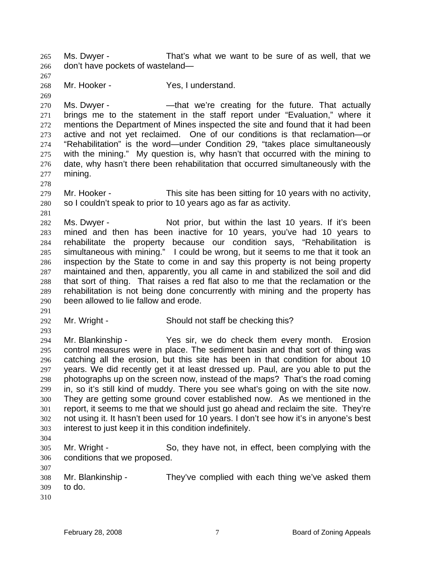Ms. Dwyer - That's what we want to be sure of as well, that we don't have pockets of wasteland— 265 266

268 Mr. Hooker - Yes, I understand.

270 271 272 273 274 275 276 277 Ms. Dwyer - That we're creating for the future. That actually brings me to the statement in the staff report under "Evaluation," where it mentions the Department of Mines inspected the site and found that it had been active and not yet reclaimed. One of our conditions is that reclamation—or "Rehabilitation" is the word—under Condition 29, "takes place simultaneously with the mining." My question is, why hasn't that occurred with the mining to date, why hasn't there been rehabilitation that occurred simultaneously with the mining.

- 279 280 Mr. Hooker - This site has been sitting for 10 years with no activity, so I couldn't speak to prior to 10 years ago as far as activity.
- 281

278

267

269

282 283 284 285 286 287 288 289 290 Ms. Dwyer - Not prior, but within the last 10 years. If it's been mined and then has been inactive for 10 years, you've had 10 years to rehabilitate the property because our condition says, "Rehabilitation is simultaneous with mining." I could be wrong, but it seems to me that it took an inspection by the State to come in and say this property is not being property maintained and then, apparently, you all came in and stabilized the soil and did that sort of thing. That raises a red flat also to me that the reclamation or the rehabilitation is not being done concurrently with mining and the property has been allowed to lie fallow and erode.

291

293

292 Mr. Wright - Should not staff be checking this?

294 295 296 297 298 299 300 301 302 303 Mr. Blankinship - Yes sir, we do check them every month. Erosion control measures were in place. The sediment basin and that sort of thing was catching all the erosion, but this site has been in that condition for about 10 years. We did recently get it at least dressed up. Paul, are you able to put the photographs up on the screen now, instead of the maps? That's the road coming in, so it's still kind of muddy. There you see what's going on with the site now. They are getting some ground cover established now. As we mentioned in the report, it seems to me that we should just go ahead and reclaim the site. They're not using it. It hasn't been used for 10 years. I don't see how it's in anyone's best interest to just keep it in this condition indefinitely.

304

305 306 Mr. Wright - So, they have not, in effect, been complying with the conditions that we proposed.

307 308 309 310 Mr. Blankinship - They've complied with each thing we've asked them to do.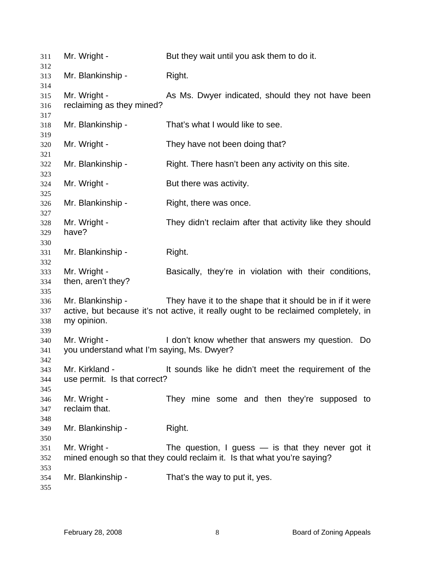| 311                      | Mr. Wright -                                               | But they wait until you ask them to do it.                                                                                                       |
|--------------------------|------------------------------------------------------------|--------------------------------------------------------------------------------------------------------------------------------------------------|
| 312<br>313<br>314        | Mr. Blankinship -                                          | Right.                                                                                                                                           |
| 315<br>316<br>317        | Mr. Wright -<br>reclaiming as they mined?                  | As Ms. Dwyer indicated, should they not have been                                                                                                |
| 318<br>319               | Mr. Blankinship -                                          | That's what I would like to see.                                                                                                                 |
| 320<br>321               | Mr. Wright -                                               | They have not been doing that?                                                                                                                   |
| 322<br>323               | Mr. Blankinship -                                          | Right. There hasn't been any activity on this site.                                                                                              |
| 324<br>325               | Mr. Wright -                                               | But there was activity.                                                                                                                          |
| 326<br>327               | Mr. Blankinship -                                          | Right, there was once.                                                                                                                           |
| 328<br>329<br>330        | Mr. Wright -<br>have?                                      | They didn't reclaim after that activity like they should                                                                                         |
| 331<br>332               | Mr. Blankinship -                                          | Right.                                                                                                                                           |
| 333<br>334<br>335        | Mr. Wright -<br>then, aren't they?                         | Basically, they're in violation with their conditions,                                                                                           |
| 336<br>337<br>338<br>339 | Mr. Blankinship -<br>my opinion.                           | They have it to the shape that it should be in if it were<br>active, but because it's not active, it really ought to be reclaimed completely, in |
| 340<br>341<br>342        | Mr. Wright -<br>you understand what I'm saying, Ms. Dwyer? | I don't know whether that answers my question. Do                                                                                                |
| 343<br>344<br>345        | Mr. Kirkland -<br>use permit. Is that correct?             | It sounds like he didn't meet the requirement of the                                                                                             |
| 346<br>347<br>348        | Mr. Wright -<br>reclaim that.                              | They mine some and then they're supposed to                                                                                                      |
| 349<br>350               | Mr. Blankinship -                                          | Right.                                                                                                                                           |
| 351<br>352               | Mr. Wright -                                               | The question, I guess $-$ is that they never got it<br>mined enough so that they could reclaim it. Is that what you're saying?                   |
| 353<br>354<br>355        | Mr. Blankinship -                                          | That's the way to put it, yes.                                                                                                                   |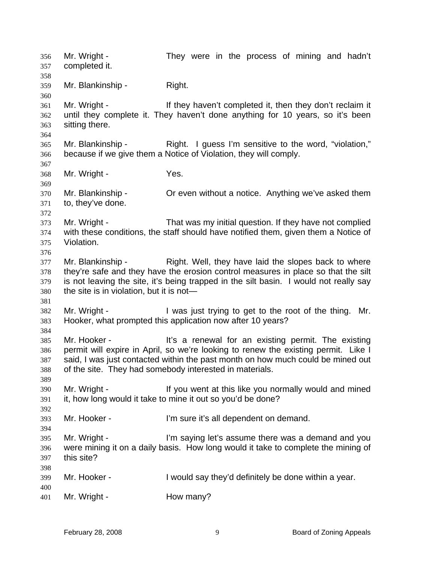Mr. Wright - They were in the process of mining and hadn't completed it. 356 357 358 359 360 361 362 363 364 365 366 367 368 369 370 371 372 373 374 375 376 377 378 379 380 381 382 383 384 385 386 387 388 389 390 391 392 393 394 395 396 397 398 399 400 401 Mr. Blankinship - Right. Mr. Wright - If they haven't completed it, then they don't reclaim it until they complete it. They haven't done anything for 10 years, so it's been sitting there. Mr. Blankinship - Right. I guess I'm sensitive to the word, "violation," because if we give them a Notice of Violation, they will comply. Mr. Wright - Yes. Mr. Blankinship - Or even without a notice. Anything we've asked them to, they've done. Mr. Wright - That was my initial question. If they have not complied with these conditions, the staff should have notified them, given them a Notice of Violation. Mr. Blankinship - Right. Well, they have laid the slopes back to where they're safe and they have the erosion control measures in place so that the silt is not leaving the site, it's being trapped in the silt basin. I would not really say the site is in violation, but it is not— Mr. Wright - I was just trying to get to the root of the thing. Mr. Hooker, what prompted this application now after 10 years? Mr. Hooker - The section of the section of the existing it is a renewal for an existing permit. The existing permit will expire in April, so we're looking to renew the existing permit. Like I said, I was just contacted within the past month on how much could be mined out of the site. They had somebody interested in materials. Mr. Wright - The Muslim of this like you normally would and mined it, how long would it take to mine it out so you'd be done? Mr. Hooker - I'm sure it's all dependent on demand. Mr. Wright - The Saying let's assume there was a demand and you were mining it on a daily basis. How long would it take to complete the mining of this site? Mr. Hooker - The U would say they'd definitely be done within a year. Mr. Wright - **How many?**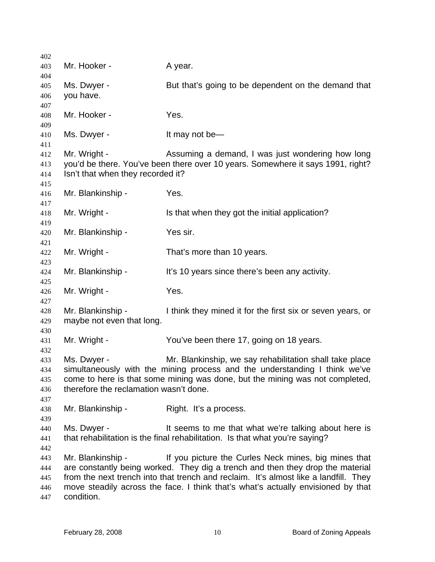| 402 |                                        |                                                                                      |
|-----|----------------------------------------|--------------------------------------------------------------------------------------|
| 403 | Mr. Hooker -                           | A year.                                                                              |
| 404 |                                        |                                                                                      |
| 405 | Ms. Dwyer -                            | But that's going to be dependent on the demand that                                  |
| 406 | you have.                              |                                                                                      |
| 407 |                                        |                                                                                      |
| 408 | Mr. Hooker -                           | Yes.                                                                                 |
| 409 |                                        |                                                                                      |
| 410 | Ms. Dwyer -                            | It may not be-                                                                       |
| 411 |                                        |                                                                                      |
| 412 | Mr. Wright -                           | Assuming a demand, I was just wondering how long                                     |
| 413 |                                        | you'd be there. You've been there over 10 years. Somewhere it says 1991, right?      |
| 414 | Isn't that when they recorded it?      |                                                                                      |
| 415 |                                        |                                                                                      |
| 416 | Mr. Blankinship -                      | Yes.                                                                                 |
| 417 |                                        |                                                                                      |
| 418 | Mr. Wright -                           | Is that when they got the initial application?                                       |
| 419 |                                        |                                                                                      |
| 420 | Mr. Blankinship -                      | Yes sir.                                                                             |
| 421 |                                        |                                                                                      |
| 422 | Mr. Wright -                           | That's more than 10 years.                                                           |
| 423 |                                        |                                                                                      |
| 424 | Mr. Blankinship -                      | It's 10 years since there's been any activity.                                       |
| 425 |                                        |                                                                                      |
| 426 | Mr. Wright -                           | Yes.                                                                                 |
| 427 |                                        |                                                                                      |
| 428 | Mr. Blankinship -                      | I think they mined it for the first six or seven years, or                           |
| 429 | maybe not even that long.              |                                                                                      |
| 430 |                                        |                                                                                      |
| 431 | Mr. Wright -                           | You've been there 17, going on 18 years.                                             |
| 432 |                                        |                                                                                      |
| 433 | Ms. Dwyer -                            | Mr. Blankinship, we say rehabilitation shall take place                              |
| 434 |                                        | simultaneously with the mining process and the understanding I think we've           |
| 435 | therefore the reclamation wasn't done. | come to here is that some mining was done, but the mining was not completed,         |
| 436 |                                        |                                                                                      |
| 437 |                                        |                                                                                      |
| 438 | Mr. Blankinship -                      | Right. It's a process.                                                               |
| 439 | Ms. Dwyer -                            | It seems to me that what we're talking about here is                                 |
| 440 |                                        |                                                                                      |
| 441 |                                        | that rehabilitation is the final rehabilitation. Is that what you're saying?         |
| 442 | Mr. Blankinship -                      | If you picture the Curles Neck mines, big mines that                                 |
| 443 |                                        | are constantly being worked. They dig a trench and then they drop the material       |
| 444 |                                        | from the next trench into that trench and reclaim. It's almost like a landfill. They |
| 445 |                                        |                                                                                      |
| 446 | condition.                             | move steadily across the face. I think that's what's actually envisioned by that     |
| 447 |                                        |                                                                                      |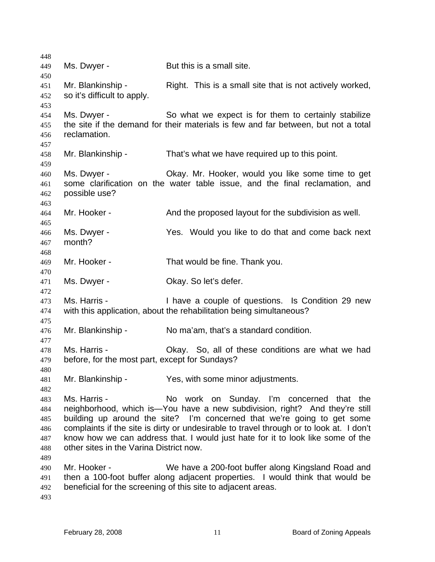448 449 450 451 452 453 454 455 456 457 458 459 460 461 462 463 464 465 466 467 468 469 470 471 472 473 474 475 476 477 478 479 480 481 482 483 484 485 486 487 488 489 490 491 492 493 Ms. Dwyer - But this is a small site. Mr. Blankinship - Right. This is a small site that is not actively worked, so it's difficult to apply. Ms. Dwyer - So what we expect is for them to certainly stabilize the site if the demand for their materials is few and far between, but not a total reclamation. Mr. Blankinship - That's what we have required up to this point. Ms. Dwyer - Okay. Mr. Hooker, would you like some time to get some clarification on the water table issue, and the final reclamation, and possible use? Mr. Hooker - The And the proposed layout for the subdivision as well. Ms. Dwyer - The Yes. Would you like to do that and come back next month? Mr. Hooker - That would be fine. Thank you. Ms. Dwyer - Chay. So let's defer. Ms. Harris - I have a couple of questions. Is Condition 29 new with this application, about the rehabilitation being simultaneous? Mr. Blankinship - No ma'am, that's a standard condition. Ms. Harris - Okay. So, all of these conditions are what we had before, for the most part, except for Sundays? Mr. Blankinship - Yes, with some minor adjustments. Ms. Harris - No work on Sunday. I'm concerned that the neighborhood, which is—You have a new subdivision, right? And they're still building up around the site? I'm concerned that we're going to get some complaints if the site is dirty or undesirable to travel through or to look at. I don't know how we can address that. I would just hate for it to look like some of the other sites in the Varina District now. Mr. Hooker - We have a 200-foot buffer along Kingsland Road and then a 100-foot buffer along adjacent properties. I would think that would be beneficial for the screening of this site to adjacent areas.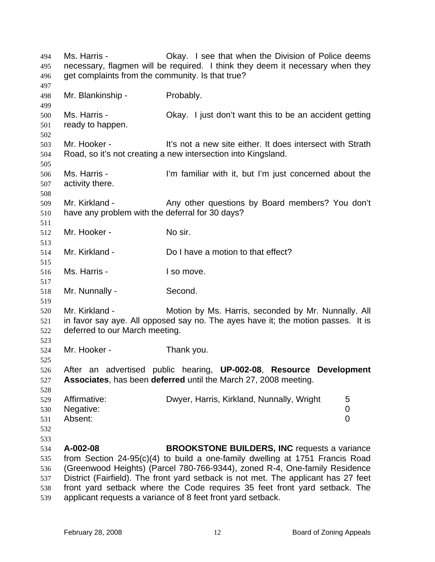Ms. Harris - Okay. I see that when the Division of Police deems necessary, flagmen will be required. I think they deem it necessary when they get complaints from the community. Is that true? 494 495 496 497 498 499 500 501 502 503 504 505 506 507 508 509 510 511 512 513 514 515 516 517 518 519 520 521 522 523 524 525 526 527 528 529 530 531 532 533 534 535 536 537 538 539 Mr. Blankinship - Probably. Ms. Harris - Chay. I just don't want this to be an accident getting ready to happen. Mr. Hooker - The Theory of a new site either. It does intersect with Strath Road, so it's not creating a new intersection into Kingsland. Ms. Harris - **I'm familiar with it, but I'm just concerned about the** activity there. Mr. Kirkland - Any other questions by Board members? You don't have any problem with the deferral for 30 days? Mr. Hooker - No sir. Mr. Kirkland - **Do I have a motion to that effect?** Ms. Harris - The Music I so move. Mr. Nunnally - Second. Mr. Kirkland - Motion by Ms. Harris, seconded by Mr. Nunnally. All in favor say aye. All opposed say no. The ayes have it; the motion passes. It is deferred to our March meeting. Mr. Hooker - Thank you. After an advertised public hearing, **UP-002-08**, **Resource Development Associates**, has been **deferred** until the March 27, 2008 meeting. Affirmative: **Dwyer, Harris, Kirkland, Nunnally, Wright** 5 Negative: 0 Absent: 0 **A-002-08 BROOKSTONE BUILDERS, INC** requests a variance from Section 24-95(c)(4) to build a one-family dwelling at 1751 Francis Road (Greenwood Heights) (Parcel 780-766-9344), zoned R-4, One-family Residence District (Fairfield). The front yard setback is not met. The applicant has 27 feet front yard setback where the Code requires 35 feet front yard setback. The applicant requests a variance of 8 feet front yard setback.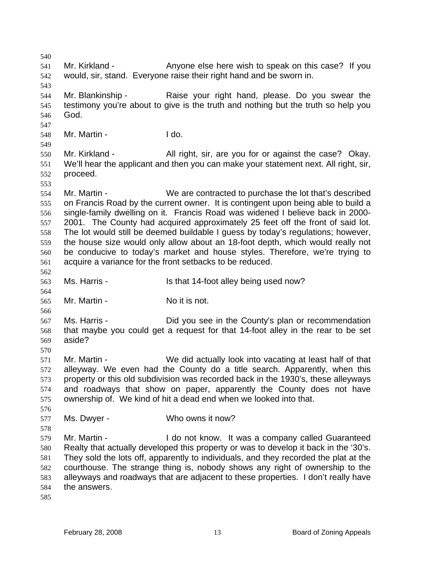540 541 542 543 544 545 546 547 548 549 550 551 552 553 554 555 556 557 558 559 560 561 562 563 564 565 566 567 568 569 570 571 572 573 574 575 576 577 578 579 580 581 582 583 584 585 Mr. Kirkland - Anyone else here wish to speak on this case? If you would, sir, stand. Everyone raise their right hand and be sworn in. Mr. Blankinship - Raise your right hand, please. Do you swear the testimony you're about to give is the truth and nothing but the truth so help you God. Mr. Martin - I do. Mr. Kirkland - All right, sir, are you for or against the case? Okay. We'll hear the applicant and then you can make your statement next. All right, sir, proceed. Mr. Martin - We are contracted to purchase the lot that's described on Francis Road by the current owner. It is contingent upon being able to build a single-family dwelling on it. Francis Road was widened I believe back in 2000- 2001. The County had acquired approximately 25 feet off the front of said lot. The lot would still be deemed buildable I guess by today's regulations; however, the house size would only allow about an 18-foot depth, which would really not be conducive to today's market and house styles. Therefore, we're trying to acquire a variance for the front setbacks to be reduced. Ms. Harris - Is that 14-foot alley being used now? Mr. Martin - No it is not. Ms. Harris - Did you see in the County's plan or recommendation that maybe you could get a request for that 14-foot alley in the rear to be set aside? Mr. Martin - We did actually look into vacating at least half of that alleyway. We even had the County do a title search. Apparently, when this property or this old subdivision was recorded back in the 1930's, these alleyways and roadways that show on paper, apparently the County does not have ownership of. We kind of hit a dead end when we looked into that. Ms. Dwyer - Who owns it now? Mr. Martin - The Music of the Netwin Company called Guaranteed Realty that actually developed this property or was to develop it back in the '30's. They sold the lots off, apparently to individuals, and they recorded the plat at the courthouse. The strange thing is, nobody shows any right of ownership to the alleyways and roadways that are adjacent to these properties. I don't really have the answers.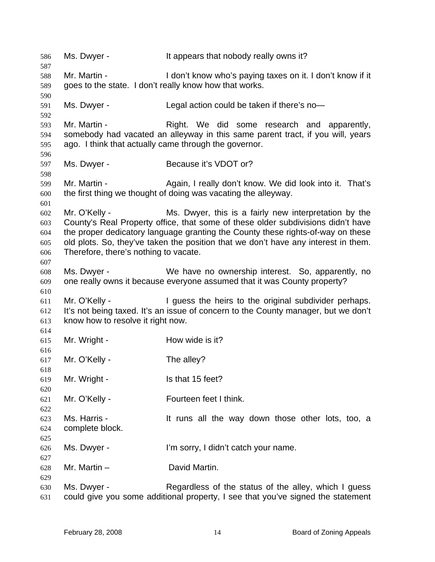586 Ms. Dwyer - It appears that nobody really owns it? 587 588 589 590 591 592 593 594 595 596 597 598 599 600 601 602 603 604 605 606 607 608 609 610 611 612 613 614 615 616 617 618 619 620 621 622 623 624 625 626 627 628 629 630 631 Mr. Martin - The I don't know who's paying taxes on it. I don't know if it goes to the state. I don't really know how that works. Ms. Dwyer - Legal action could be taken if there's no-Mr. Martin - The Right. We did some research and apparently, somebody had vacated an alleyway in this same parent tract, if you will, years ago. I think that actually came through the governor. Ms. Dwyer - Because it's VDOT or? Mr. Martin - Again, I really don't know. We did look into it. That's the first thing we thought of doing was vacating the alleyway. Mr. O'Kelly - Ms. Dwyer, this is a fairly new interpretation by the County's Real Property office, that some of these older subdivisions didn't have the proper dedicatory language granting the County these rights-of-way on these old plots. So, they've taken the position that we don't have any interest in them. Therefore, there's nothing to vacate. Ms. Dwyer - We have no ownership interest. So, apparently, no one really owns it because everyone assumed that it was County property? Mr. O'Kelly - I guess the heirs to the original subdivider perhaps. It's not being taxed. It's an issue of concern to the County manager, but we don't know how to resolve it right now. Mr. Wright - **How wide is it?** Mr. O'Kelly - The alley? Mr. Wright - Is that 15 feet? Mr. O'Kelly - Fourteen feet I think. Ms. Harris - The Musicalli the way down those other lots, too, a complete block. Ms. Dwyer - I'm sorry, I didn't catch your name. Mr. Martin – David Martin. Ms. Dwyer - Regardless of the status of the alley, which I guess could give you some additional property, I see that you've signed the statement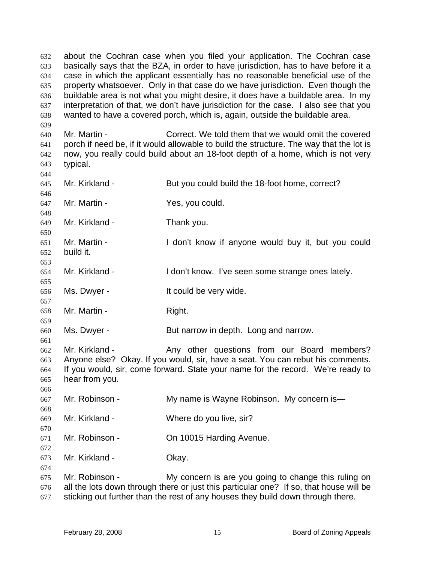about the Cochran case when you filed your application. The Cochran case basically says that the BZA, in order to have jurisdiction, has to have before it a case in which the applicant essentially has no reasonable beneficial use of the property whatsoever. Only in that case do we have jurisdiction. Even though the buildable area is not what you might desire, it does have a buildable area. In my interpretation of that, we don't have jurisdiction for the case. I also see that you wanted to have a covered porch, which is, again, outside the buildable area. 632 633 634 635 636 637 638

640 641 642 643 Mr. Martin - Correct. We told them that we would omit the covered porch if need be, if it would allowable to build the structure. The way that the lot is now, you really could build about an 18-foot depth of a home, which is not very typical.

645 646 647 648 649 650 651 652 653 654 655 656 657 658 659 660 661 662 663 664 665 666 667 668 669 670 671 672 673 674 675 676 677 Mr. Kirkland - But you could build the 18-foot home, correct? Mr. Martin - Yes, you could. Mr. Kirkland - Thank you. Mr. Martin - I don't know if anyone would buy it, but you could build it. Mr. Kirkland - I don't know. I've seen some strange ones lately. Ms. Dwyer - The Music ould be very wide. Mr. Martin - The Right. Ms. Dwyer - But narrow in depth. Long and narrow. Mr. Kirkland - Any other questions from our Board members? Anyone else? Okay. If you would, sir, have a seat. You can rebut his comments. If you would, sir, come forward. State your name for the record. We're ready to hear from you. Mr. Robinson - The My name is Wayne Robinson. My concern is — Mr. Kirkland - Where do you live, sir? Mr. Robinson - **On 10015 Harding Avenue.** Mr. Kirkland - **Okay.** Mr. Robinson - My concern is are you going to change this ruling on all the lots down through there or just this particular one? If so, that house will be sticking out further than the rest of any houses they build down through there.

639

644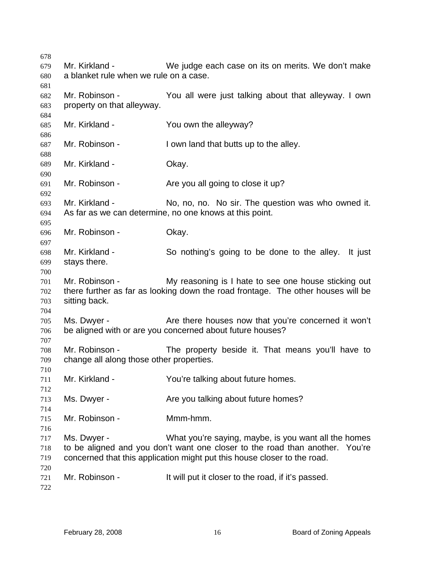| 678                             |                                                            |                                                                                                                                                                                                                  |
|---------------------------------|------------------------------------------------------------|------------------------------------------------------------------------------------------------------------------------------------------------------------------------------------------------------------------|
| 679<br>680                      | Mr. Kirkland -<br>a blanket rule when we rule on a case.   | We judge each case on its on merits. We don't make                                                                                                                                                               |
| 681                             |                                                            |                                                                                                                                                                                                                  |
| 682<br>683                      | Mr. Robinson -<br>property on that alleyway.               | You all were just talking about that alleyway. I own                                                                                                                                                             |
| 684                             |                                                            |                                                                                                                                                                                                                  |
| 685<br>686                      | Mr. Kirkland -                                             | You own the alleyway?                                                                                                                                                                                            |
| 687                             | Mr. Robinson -                                             | I own land that butts up to the alley.                                                                                                                                                                           |
| 688<br>689<br>690               | Mr. Kirkland -                                             | Okay.                                                                                                                                                                                                            |
| 691<br>692                      | Mr. Robinson -                                             | Are you all going to close it up?                                                                                                                                                                                |
| 693<br>694                      | Mr. Kirkland -                                             | No, no, no. No sir. The question was who owned it.<br>As far as we can determine, no one knows at this point.                                                                                                    |
| 695<br>696<br>697               | Mr. Robinson -                                             | Okay.                                                                                                                                                                                                            |
| 698<br>699                      | Mr. Kirkland -<br>stays there.                             | So nothing's going to be done to the alley. It just                                                                                                                                                              |
| 700<br>701<br>702<br>703<br>704 | Mr. Robinson -<br>sitting back.                            | My reasoning is I hate to see one house sticking out<br>there further as far as looking down the road frontage. The other houses will be                                                                         |
| 705<br>706                      | Ms. Dwyer -                                                | Are there houses now that you're concerned it won't<br>be aligned with or are you concerned about future houses?                                                                                                 |
| 707<br>708<br>709<br>710        | Mr. Robinson -<br>change all along those other properties. | The property beside it. That means you'll have to                                                                                                                                                                |
| 711<br>712                      | Mr. Kirkland -                                             | You're talking about future homes.                                                                                                                                                                               |
| 713<br>714                      | Ms. Dwyer -                                                | Are you talking about future homes?                                                                                                                                                                              |
| 715<br>716                      | Mr. Robinson -                                             | Mmm-hmm.                                                                                                                                                                                                         |
| 717<br>718<br>719               | Ms. Dwyer -                                                | What you're saying, maybe, is you want all the homes<br>to be aligned and you don't want one closer to the road than another. You're<br>concerned that this application might put this house closer to the road. |
| 720<br>721<br>722               | Mr. Robinson -                                             | It will put it closer to the road, if it's passed.                                                                                                                                                               |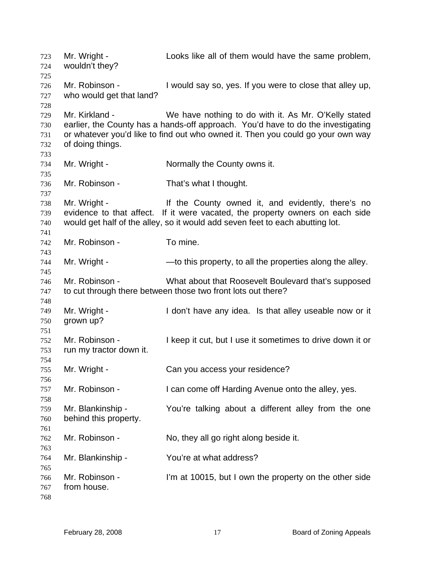Mr. Wright - Looks like all of them would have the same problem, wouldn't they? Mr. Robinson - I would say so, yes. If you were to close that alley up, who would get that land? Mr. Kirkland - We have nothing to do with it. As Mr. O'Kelly stated earlier, the County has a hands-off approach. You'd have to do the investigating or whatever you'd like to find out who owned it. Then you could go your own way of doing things. Mr. Wright - Normally the County owns it. Mr. Robinson - That's what I thought. Mr. Wright - The County owned it, and evidently, there's no evidence to that affect. If it were vacated, the property owners on each side would get half of the alley, so it would add seven feet to each abutting lot. Mr. Robinson - To mine. Mr. Wright - — —to this property, to all the properties along the alley. Mr. Robinson - What about that Roosevelt Boulevard that's supposed to cut through there between those two front lots out there? Mr. Wright - I don't have any idea. Is that alley useable now or it grown up? Mr. Robinson - I keep it cut, but I use it sometimes to drive down it or run my tractor down it. Mr. Wright - Can you access your residence? Mr. Robinson - I can come off Harding Avenue onto the alley, yes. Mr. Blankinship - You're talking about a different alley from the one behind this property. Mr. Robinson - No, they all go right along beside it. Mr. Blankinship - You're at what address? Mr. Robinson - I'm at 10015, but I own the property on the other side from house.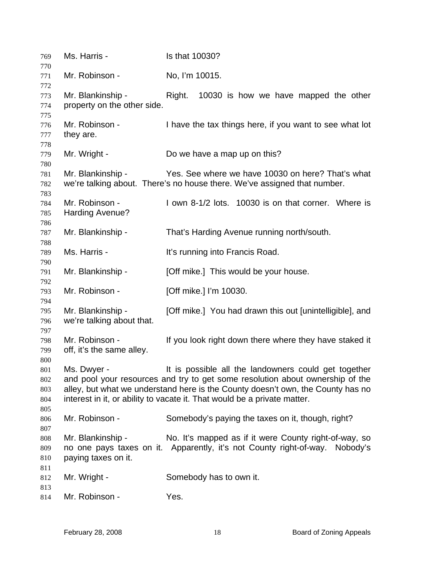| 769                             | Ms. Harris -                                     | Is that 10030?                                                                                                                                                                                                                                                                                       |
|---------------------------------|--------------------------------------------------|------------------------------------------------------------------------------------------------------------------------------------------------------------------------------------------------------------------------------------------------------------------------------------------------------|
| 770<br>771                      | Mr. Robinson -                                   | No, I'm 10015.                                                                                                                                                                                                                                                                                       |
| 772                             |                                                  |                                                                                                                                                                                                                                                                                                      |
| 773<br>774<br>775               | Mr. Blankinship -<br>property on the other side. | Right.<br>10030 is how we have mapped the other                                                                                                                                                                                                                                                      |
| 776<br>777                      | Mr. Robinson -<br>they are.                      | I have the tax things here, if you want to see what lot                                                                                                                                                                                                                                              |
| 778<br>779                      | Mr. Wright -                                     | Do we have a map up on this?                                                                                                                                                                                                                                                                         |
| 780<br>781<br>782<br>783        | Mr. Blankinship -                                | Yes. See where we have 10030 on here? That's what<br>we're talking about. There's no house there. We've assigned that number.                                                                                                                                                                        |
| 784<br>785<br>786               | Mr. Robinson -<br>Harding Avenue?                | I own 8-1/2 lots. 10030 is on that corner. Where is                                                                                                                                                                                                                                                  |
| 787<br>788                      | Mr. Blankinship -                                | That's Harding Avenue running north/south.                                                                                                                                                                                                                                                           |
| 789<br>790                      | Ms. Harris -                                     | It's running into Francis Road.                                                                                                                                                                                                                                                                      |
| 791<br>792                      | Mr. Blankinship -                                | [Off mike.] This would be your house.                                                                                                                                                                                                                                                                |
| 793<br>794                      | Mr. Robinson -                                   | [Off mike.] I'm 10030.                                                                                                                                                                                                                                                                               |
| 795<br>796<br>797               | Mr. Blankinship -<br>we're talking about that.   | [Off mike.] You had drawn this out [unintelligible], and                                                                                                                                                                                                                                             |
| 798<br>799<br>800               | Mr. Robinson -<br>off, it's the same alley.      | If you look right down there where they have staked it                                                                                                                                                                                                                                               |
| 801<br>802<br>803<br>804<br>805 | Ms. Dwyer -                                      | It is possible all the landowners could get together<br>and pool your resources and try to get some resolution about ownership of the<br>alley, but what we understand here is the County doesn't own, the County has no<br>interest in it, or ability to vacate it. That would be a private matter. |
| 806<br>807                      | Mr. Robinson -                                   | Somebody's paying the taxes on it, though, right?                                                                                                                                                                                                                                                    |
| 808<br>809<br>810               | Mr. Blankinship -<br>paying taxes on it.         | No. It's mapped as if it were County right-of-way, so<br>no one pays taxes on it. Apparently, it's not County right-of-way. Nobody's                                                                                                                                                                 |
| 811<br>812                      | Mr. Wright -                                     | Somebody has to own it.                                                                                                                                                                                                                                                                              |
| 813<br>814                      | Mr. Robinson -                                   | Yes.                                                                                                                                                                                                                                                                                                 |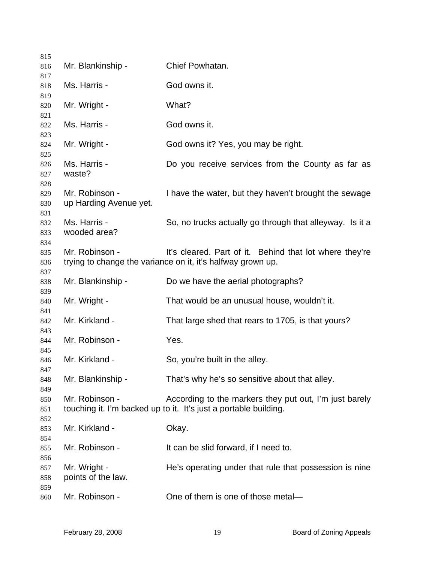| 815        |                        |                                                                  |
|------------|------------------------|------------------------------------------------------------------|
| 816        | Mr. Blankinship -      | Chief Powhatan.                                                  |
| 817<br>818 | Ms. Harris -           | God owns it.                                                     |
| 819        |                        |                                                                  |
| 820        | Mr. Wright -           | What?                                                            |
| 821        |                        |                                                                  |
| 822        | Ms. Harris -           | God owns it.                                                     |
| 823<br>824 | Mr. Wright -           | God owns it? Yes, you may be right.                              |
| 825        |                        |                                                                  |
| 826<br>827 | Ms. Harris -<br>waste? | Do you receive services from the County as far as                |
| 828        |                        |                                                                  |
| 829        | Mr. Robinson -         | I have the water, but they haven't brought the sewage            |
| 830        | up Harding Avenue yet. |                                                                  |
| 831        |                        |                                                                  |
| 832        | Ms. Harris -           | So, no trucks actually go through that alleyway. Is it a         |
| 833        | wooded area?           |                                                                  |
| 834        |                        |                                                                  |
| 835        | Mr. Robinson -         | It's cleared. Part of it. Behind that lot where they're          |
| 836        |                        | trying to change the variance on it, it's halfway grown up.      |
| 837        |                        |                                                                  |
| 838<br>839 | Mr. Blankinship -      | Do we have the aerial photographs?                               |
| 840        | Mr. Wright -           | That would be an unusual house, wouldn't it.                     |
| 841        |                        |                                                                  |
| 842        | Mr. Kirkland -         | That large shed that rears to 1705, is that yours?               |
| 843<br>844 | Mr. Robinson -         | Yes.                                                             |
| 845        |                        |                                                                  |
| 846        | Mr. Kirkland -         | So, you're built in the alley.                                   |
| 847        |                        |                                                                  |
| 848<br>849 | Mr. Blankinship -      | That's why he's so sensitive about that alley.                   |
| 850        | Mr. Robinson -         | According to the markers they put out, I'm just barely           |
| 851        |                        | touching it. I'm backed up to it. It's just a portable building. |
| 852        |                        |                                                                  |
| 853        | Mr. Kirkland -         | Okay.                                                            |
| 854        |                        |                                                                  |
| 855        | Mr. Robinson -         | It can be slid forward, if I need to.                            |
| 856        |                        |                                                                  |
| 857        | Mr. Wright -           | He's operating under that rule that possession is nine           |
| 858        | points of the law.     |                                                                  |
| 859        |                        |                                                                  |
| 860        | Mr. Robinson -         | One of them is one of those metal-                               |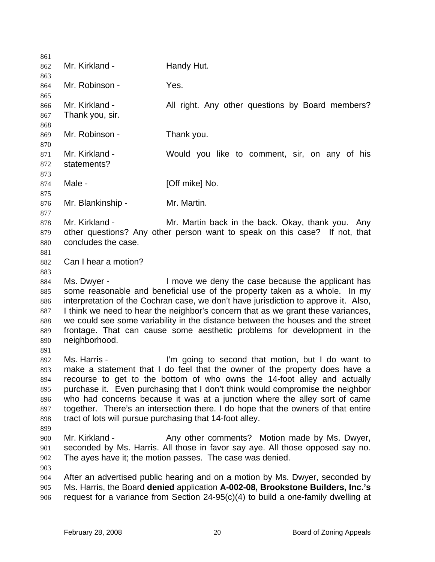861 862 863 864 865 866 867 868 869 870 871 872 873 874 875 876 877 878 879 880 881 882 883 884 885 886 887 888 889 890 891 892 893 894 895 896 897 898 899 900 901 902 903 904 905 906 Mr. Kirkland - Handy Hut. Mr. Robinson - Yes. Mr. Kirkland - All right. Any other questions by Board members? Thank you, sir. Mr. Robinson - Thank you. Mr. Kirkland - The Would you like to comment, sir, on any of his statements? Male - [Off mike] No. Mr. Blankinship - Mr. Martin. Mr. Kirkland - Mr. Martin back in the back. Okay, thank you. Any other questions? Any other person want to speak on this case? If not, that concludes the case. Can I hear a motion? Ms. Dwyer - I move we deny the case because the applicant has some reasonable and beneficial use of the property taken as a whole. In my interpretation of the Cochran case, we don't have jurisdiction to approve it. Also, I think we need to hear the neighbor's concern that as we grant these variances, we could see some variability in the distance between the houses and the street frontage. That can cause some aesthetic problems for development in the neighborhood. Ms. Harris - I'm going to second that motion, but I do want to make a statement that I do feel that the owner of the property does have a recourse to get to the bottom of who owns the 14-foot alley and actually purchase it. Even purchasing that I don't think would compromise the neighbor who had concerns because it was at a junction where the alley sort of came together. There's an intersection there. I do hope that the owners of that entire tract of lots will pursue purchasing that 14-foot alley. Mr. Kirkland - The Any other comments? Motion made by Ms. Dwyer, seconded by Ms. Harris. All those in favor say aye. All those opposed say no. The ayes have it; the motion passes. The case was denied. After an advertised public hearing and on a motion by Ms. Dwyer, seconded by Ms. Harris, the Board **denied** application **A-002-08, Brookstone Builders, Inc.'s** request for a variance from Section 24-95(c)(4) to build a one-family dwelling at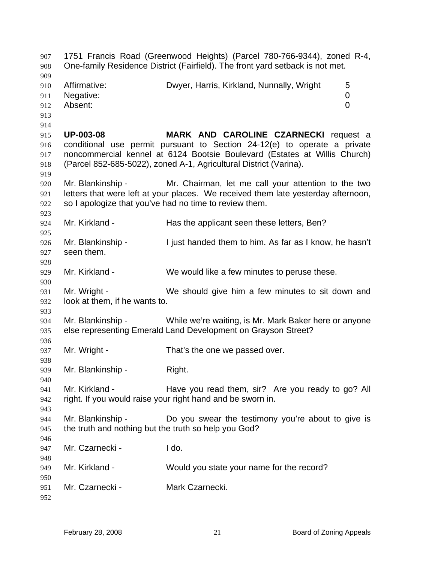1751 Francis Road (Greenwood Heights) (Parcel 780-766-9344), zoned R-4, One-family Residence District (Fairfield). The front yard setback is not met. Affirmative: Dwyer, Harris, Kirkland, Nunnally, Wright 5 Negative: 0 Absent: 0 **UP-003-08 MARK AND CAROLINE CZARNECKI** request a conditional use permit pursuant to Section 24-12(e) to operate a private noncommercial kennel at 6124 Bootsie Boulevard (Estates at Willis Church) (Parcel 852-685-5022), zoned A-1, Agricultural District (Varina). Mr. Blankinship - Mr. Chairman, let me call your attention to the two letters that were left at your places. We received them late yesterday afternoon, so I apologize that you've had no time to review them. Mr. Kirkland - The Has the applicant seen these letters, Ben? Mr. Blankinship - I just handed them to him. As far as I know, he hasn't seen them. Mr. Kirkland - We would like a few minutes to peruse these. Mr. Wright - We should give him a few minutes to sit down and look at them, if he wants to. Mr. Blankinship - While we're waiting, is Mr. Mark Baker here or anyone else representing Emerald Land Development on Grayson Street? Mr. Wright - That's the one we passed over. Mr. Blankinship - Right. Mr. Kirkland - Thave you read them, sir? Are you ready to go? All right. If you would raise your right hand and be sworn in. Mr. Blankinship - Do you swear the testimony you're about to give is the truth and nothing but the truth so help you God? Mr. Czarnecki - I do. Mr. Kirkland - Would you state your name for the record? Mr. Czarnecki - Mark Czarnecki.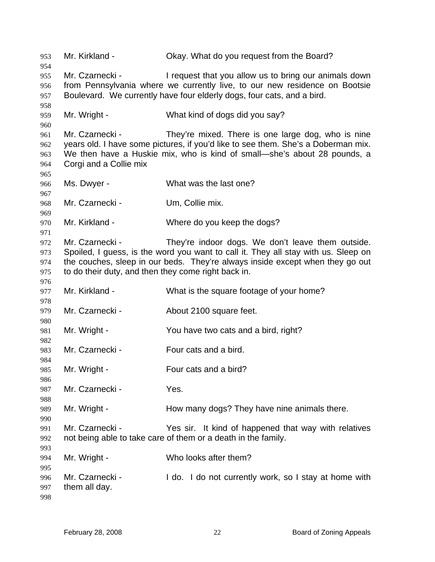Mr. Kirkland - Okay. What do you request from the Board? Mr. Czarnecki - The internet that you allow us to bring our animals down from Pennsylvania where we currently live, to our new residence on Bootsie Boulevard. We currently have four elderly dogs, four cats, and a bird. Mr. Wright - What kind of dogs did you say? Mr. Czarnecki - They're mixed. There is one large dog, who is nine years old. I have some pictures, if you'd like to see them. She's a Doberman mix. We then have a Huskie mix, who is kind of small—she's about 28 pounds, a Corgi and a Collie mix Ms. Dwyer - What was the last one? Mr. Czarnecki - Um, Collie mix. Mr. Kirkland - Where do you keep the dogs? Mr. Czarnecki - They're indoor dogs. We don't leave them outside. Spoiled, I guess, is the word you want to call it. They all stay with us. Sleep on the couches, sleep in our beds. They're always inside except when they go out to do their duty, and then they come right back in. Mr. Kirkland - What is the square footage of your home? Mr. Czarnecki - **About 2100 square feet.** Mr. Wright - You have two cats and a bird, right? Mr. Czarnecki - Four cats and a bird. Mr. Wright - Four cats and a bird? Mr. Czarnecki - Yes. Mr. Wright - They many dogs? They have nine animals there. Mr. Czarnecki - Yes sir. It kind of happened that way with relatives not being able to take care of them or a death in the family. Mr. Wright - Who looks after them? Mr. Czarnecki - I do. I do not currently work, so I stay at home with them all day.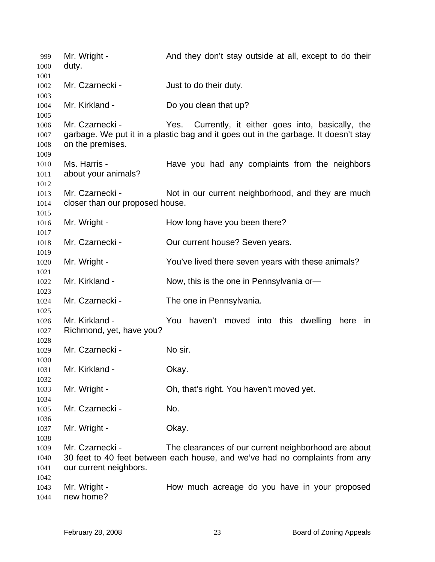| 999<br>1000                  | Mr. Wright -<br>duty.                              | And they don't stay outside at all, except to do their                                                                                        |
|------------------------------|----------------------------------------------------|-----------------------------------------------------------------------------------------------------------------------------------------------|
| 1001<br>1002<br>1003         | Mr. Czarnecki -                                    | Just to do their duty.                                                                                                                        |
| 1004<br>1005                 | Mr. Kirkland -                                     | Do you clean that up?                                                                                                                         |
| 1006<br>1007<br>1008<br>1009 | Mr. Czarnecki -<br>on the premises.                | Yes.<br>Currently, it either goes into, basically, the<br>garbage. We put it in a plastic bag and it goes out in the garbage. It doesn't stay |
| 1010<br>1011<br>1012         | Ms. Harris -<br>about your animals?                | Have you had any complaints from the neighbors                                                                                                |
| 1013<br>1014                 | Mr. Czarnecki -<br>closer than our proposed house. | Not in our current neighborhood, and they are much                                                                                            |
| 1015<br>1016<br>1017         | Mr. Wright -                                       | How long have you been there?                                                                                                                 |
| 1018<br>1019                 | Mr. Czarnecki -                                    | Our current house? Seven years.                                                                                                               |
| 1020<br>1021                 | Mr. Wright -                                       | You've lived there seven years with these animals?                                                                                            |
| 1022<br>1023                 | Mr. Kirkland -                                     | Now, this is the one in Pennsylvania or-                                                                                                      |
| 1024<br>1025                 | Mr. Czarnecki -                                    | The one in Pennsylvania.                                                                                                                      |
| 1026<br>1027<br>1028         | Mr. Kirkland -<br>Richmond, yet, have you?         | You<br>haven't moved into<br>this dwelling<br>here<br>ın                                                                                      |
| 1029<br>1030                 | Mr. Czarnecki -                                    | No sir.                                                                                                                                       |
| 1031<br>1032                 | Mr. Kirkland -                                     | Okay.                                                                                                                                         |
| 1033<br>1034                 | Mr. Wright -                                       | Oh, that's right. You haven't moved yet.                                                                                                      |
| 1035<br>1036                 | Mr. Czarnecki -                                    | No.                                                                                                                                           |
| 1037<br>1038                 | Mr. Wright -                                       | Okay.                                                                                                                                         |
| 1039<br>1040<br>1041<br>1042 | Mr. Czarnecki -<br>our current neighbors.          | The clearances of our current neighborhood are about<br>30 feet to 40 feet between each house, and we've had no complaints from any           |
| 1043<br>1044                 | Mr. Wright -<br>new home?                          | How much acreage do you have in your proposed                                                                                                 |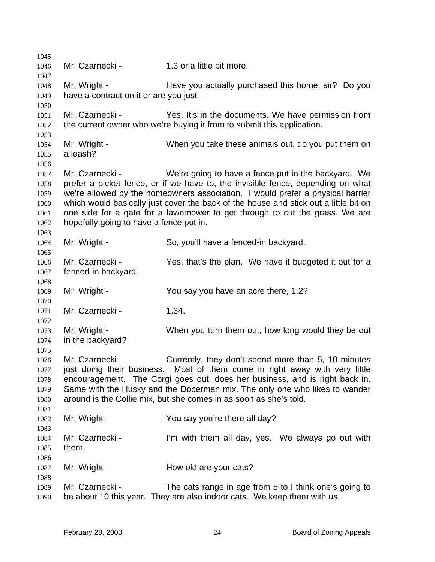1045 1046 1047 1048 1049 1050 1051 1052 1053 1054 1055 1056 1057 1058 1059 1060 1061 1062 1063 1064 1065 1066 1067 1068 1069 1070 1071 1072 1073 1074 1075 1076 1077 1078 1079 1080 1081 1082 1083 1084 1085 1086 1087 1088 1089 1090 Mr. Czarnecki - 1.3 or a little bit more. Mr. Wright - The Have you actually purchased this home, sir? Do you have a contract on it or are you just— Mr. Czarnecki - Yes. It's in the documents. We have permission from the current owner who we're buying it from to submit this application. Mr. Wright - When you take these animals out, do you put them on a leash? Mr. Czarnecki - We're going to have a fence put in the backyard. We prefer a picket fence, or if we have to, the invisible fence, depending on what we're allowed by the homeowners association. I would prefer a physical barrier which would basically just cover the back of the house and stick out a little bit on one side for a gate for a lawnmower to get through to cut the grass. We are hopefully going to have a fence put in. Mr. Wright - So, you'll have a fenced-in backyard. Mr. Czarnecki - Yes, that's the plan. We have it budgeted it out for a fenced-in backyard. Mr. Wright - The You say you have an acre there, 1.2? Mr. Czarnecki - 1.34. Mr. Wright - When you turn them out, how long would they be out in the backyard? Mr. Czarnecki - Currently, they don't spend more than 5, 10 minutes just doing their business. Most of them come in right away with very little encouragement. The Corgi goes out, does her business, and is right back in. Same with the Husky and the Doberman mix. The only one who likes to wander around is the Collie mix, but she comes in as soon as she's told. Mr. Wright - You say you're there all day? Mr. Czarnecki - I'm with them all day, yes. We always go out with them. Mr. Wright - **How old are your cats?** Mr. Czarnecki - The cats range in age from 5 to I think one's going to be about 10 this year. They are also indoor cats. We keep them with us.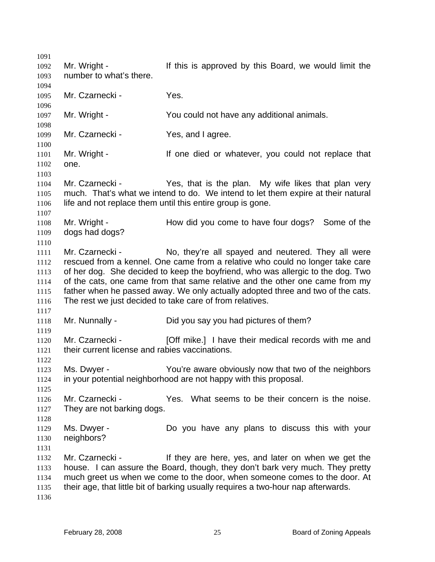1091 1092 1093 1094 1095 1096 1097 1098 1099 1100 1101 1102 1103 1104 1105 1106 1107 1108 1109 1110 1111 1112 1113 1114 1115 1116 1117 1118 1119 1120 1121 1122 1123 1124 1125 1126 1127 1128 1129 1130 1131 1132 1133 1134 1135 1136 Mr. Wright - If this is approved by this Board, we would limit the number to what's there. Mr. Czarnecki - Yes. Mr. Wright - You could not have any additional animals. Mr. Czarnecki - Yes, and I agree. Mr. Wright - The State of the died or whatever, you could not replace that one. Mr. Czarnecki - Yes, that is the plan. My wife likes that plan very much. That's what we intend to do. We intend to let them expire at their natural life and not replace them until this entire group is gone. Mr. Wright - How did you come to have four dogs? Some of the dogs had dogs? Mr. Czarnecki - No, they're all spayed and neutered. They all were rescued from a kennel. One came from a relative who could no longer take care of her dog. She decided to keep the boyfriend, who was allergic to the dog. Two of the cats, one came from that same relative and the other one came from my father when he passed away. We only actually adopted three and two of the cats. The rest we just decided to take care of from relatives. Mr. Nunnally - Did you say you had pictures of them? Mr. Czarnecki - [Off mike.] I have their medical records with me and their current license and rabies vaccinations. Ms. Dwyer - You're aware obviously now that two of the neighbors in your potential neighborhood are not happy with this proposal. Mr. Czarnecki - Yes. What seems to be their concern is the noise. They are not barking dogs. Ms. Dwyer - The Do you have any plans to discuss this with your neighbors? Mr. Czarnecki - If they are here, yes, and later on when we get the house. I can assure the Board, though, they don't bark very much. They pretty much greet us when we come to the door, when someone comes to the door. At their age, that little bit of barking usually requires a two-hour nap afterwards.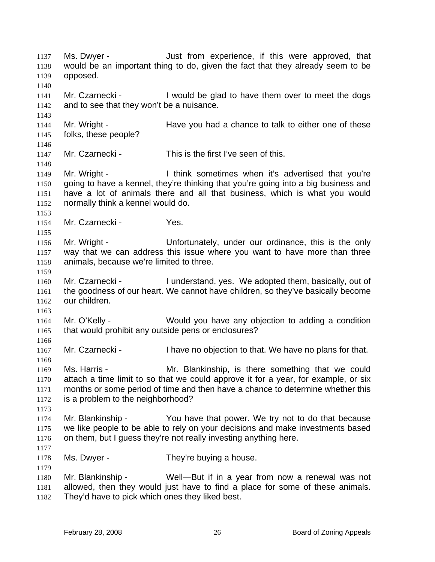Ms. Dwyer - The Solution of the experience, if this were approved, that would be an important thing to do, given the fact that they already seem to be opposed. 1137 1138 1139 1140 1141 1142 1143 1144 1145 1146 1147 1148 1149 1150 1151 1152 1153 1154 1155 1156 1157 1158 1159 1160 1161 1162 1163 1164 1165 1166 1167 1168 1169 1170 1171 1172 1173 1174 1175 1176 1177 1178 1179 1180 1181 1182 Mr. Czarnecki - I would be glad to have them over to meet the dogs and to see that they won't be a nuisance. Mr. Wright - Have you had a chance to talk to either one of these folks, these people? Mr. Czarnecki - This is the first I've seen of this. Mr. Wright - I think sometimes when it's advertised that you're going to have a kennel, they're thinking that you're going into a big business and have a lot of animals there and all that business, which is what you would normally think a kennel would do. Mr. Czarnecki - Yes. Mr. Wright - The Unfortunately, under our ordinance, this is the only way that we can address this issue where you want to have more than three animals, because we're limited to three. Mr. Czarnecki - The Inderstand, yes. We adopted them, basically, out of the goodness of our heart. We cannot have children, so they've basically become our children. Mr. O'Kelly - Would you have any objection to adding a condition that would prohibit any outside pens or enclosures? Mr. Czarnecki - I have no objection to that. We have no plans for that. Ms. Harris - The Mr. Blankinship, is there something that we could attach a time limit to so that we could approve it for a year, for example, or six months or some period of time and then have a chance to determine whether this is a problem to the neighborhood? Mr. Blankinship - You have that power. We try not to do that because we like people to be able to rely on your decisions and make investments based on them, but I guess they're not really investing anything here. Ms. Dwyer - They're buying a house. Mr. Blankinship - Well—But if in a year from now a renewal was not allowed, then they would just have to find a place for some of these animals. They'd have to pick which ones they liked best.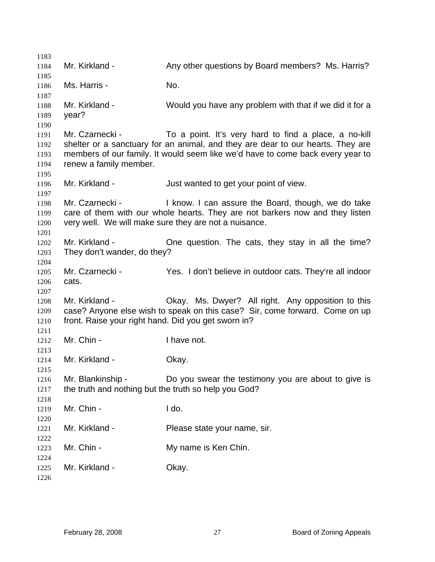| 1183         |                                                      |                                                                                 |
|--------------|------------------------------------------------------|---------------------------------------------------------------------------------|
| 1184<br>1185 | Mr. Kirkland -                                       | Any other questions by Board members? Ms. Harris?                               |
| 1186         | Ms. Harris -                                         | No.                                                                             |
| 1187         |                                                      |                                                                                 |
| 1188         | Mr. Kirkland -                                       | Would you have any problem with that if we did it for a                         |
| 1189         | year?                                                |                                                                                 |
| 1190         |                                                      |                                                                                 |
| 1191         | Mr. Czarnecki -                                      | To a point. It's very hard to find a place, a no-kill                           |
| 1192         |                                                      | shelter or a sanctuary for an animal, and they are dear to our hearts. They are |
| 1193         |                                                      | members of our family. It would seem like we'd have to come back every year to  |
| 1194         | renew a family member.                               |                                                                                 |
| 1195<br>1196 | Mr. Kirkland -                                       | Just wanted to get your point of view.                                          |
| 1197         |                                                      |                                                                                 |
| 1198         | Mr. Czarnecki -                                      | I know. I can assure the Board, though, we do take                              |
| 1199         |                                                      | care of them with our whole hearts. They are not barkers now and they listen    |
| 1200         |                                                      | very well. We will make sure they are not a nuisance.                           |
| 1201         |                                                      |                                                                                 |
| 1202         | Mr. Kirkland -                                       | One question. The cats, they stay in all the time?                              |
| 1203         | They don't wander, do they?                          |                                                                                 |
| 1204         |                                                      |                                                                                 |
| 1205         | Mr. Czarnecki -                                      | Yes. I don't believe in outdoor cats. They're all indoor                        |
| 1206<br>1207 | cats.                                                |                                                                                 |
| 1208         | Mr. Kirkland -                                       | Okay. Ms. Dwyer? All right. Any opposition to this                              |
| 1209         |                                                      | case? Anyone else wish to speak on this case? Sir, come forward. Come on up     |
| 1210         | front. Raise your right hand. Did you get sworn in?  |                                                                                 |
| 1211         |                                                      |                                                                                 |
| 1212         | Mr. Chin -                                           | I have not.                                                                     |
| 1213         |                                                      |                                                                                 |
| 1214         | Mr. Kirkland -                                       | Okay.                                                                           |
| 1215         |                                                      |                                                                                 |
| 1216         | Mr. Blankinship -                                    | Do you swear the testimony you are about to give is                             |
| 1217         | the truth and nothing but the truth so help you God? |                                                                                 |
| 1218<br>1219 | Mr. Chin -                                           | I do.                                                                           |
| 1220         |                                                      |                                                                                 |
| 1221         | Mr. Kirkland -                                       | Please state your name, sir.                                                    |
| 1222         |                                                      |                                                                                 |
| 1223         | Mr. Chin -                                           | My name is Ken Chin.                                                            |
| 1224         |                                                      |                                                                                 |
| 1225         | Mr. Kirkland -                                       | Okay.                                                                           |
| 1226         |                                                      |                                                                                 |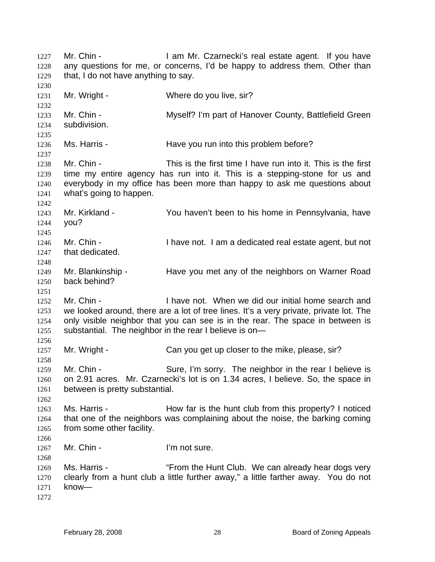Mr. Chin - The Mr. Czarnecki's real estate agent. If you have any questions for me, or concerns, I'd be happy to address them. Other than that, I do not have anything to say. 1227 1228 1229 1230 1231 1232 1233 1234 1235 1236 1237 1238 1239 1240 1241 1242 1243 1244 1245 1246 1247 1248 1249 1250 1251 1252 1253 1254 1255 1256 1257 1258 1259 1260 1261 1262 1263 1264 1265 1266 1267 1268 1269 1270 1271 1272 Mr. Wright - Where do you live, sir? Mr. Chin - Myself? I'm part of Hanover County, Battlefield Green subdivision. Ms. Harris - The Have you run into this problem before? Mr. Chin - This is the first time I have run into it. This is the first time my entire agency has run into it. This is a stepping-stone for us and everybody in my office has been more than happy to ask me questions about what's going to happen. Mr. Kirkland - You haven't been to his home in Pennsylvania, have you? Mr. Chin - I have not. I am a dedicated real estate agent, but not that dedicated. Mr. Blankinship - Have you met any of the neighbors on Warner Road back behind? Mr. Chin - I have not. When we did our initial home search and we looked around, there are a lot of tree lines. It's a very private, private lot. The only visible neighbor that you can see is in the rear. The space in between is substantial. The neighbor in the rear I believe is on— Mr. Wright - Can you get up closer to the mike, please, sir? Mr. Chin - Sure, I'm sorry. The neighbor in the rear I believe is on 2.91 acres. Mr. Czarnecki's lot is on 1.34 acres, I believe. So, the space in between is pretty substantial. Ms. Harris - **How far is the hunt club from this property?** I noticed that one of the neighbors was complaining about the noise, the barking coming from some other facility. Mr. Chin - The I'm not sure. Ms. Harris - ""From the Hunt Club. We can already hear dogs very clearly from a hunt club a little further away," a little farther away. You do not know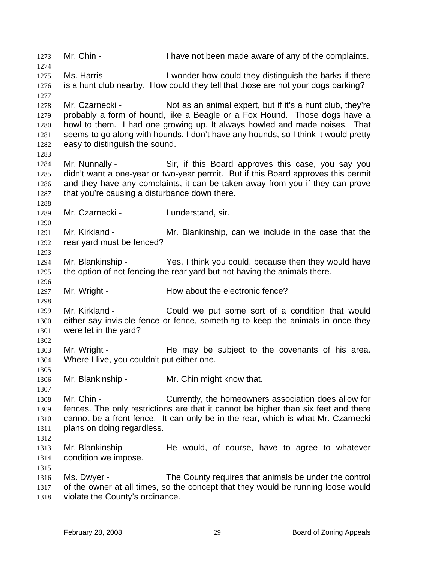1273 Mr. Chin - I have not been made aware of any of the complaints. 1274 1275 1276 1277 1278 1279 1280 1281 1282 1283 1284 1285 1286 1287 1288 1289 1290 1291 1292 1293 1294 1295 1296 1297 1298 1299 1300 1301 1302 1303 1304 1305 1306 1307 1308 1309 1310 1311 1312 1313 1314 1315 1316 1317 1318 Ms. Harris - I wonder how could they distinguish the barks if there is a hunt club nearby. How could they tell that those are not your dogs barking? Mr. Czarnecki - Not as an animal expert, but if it's a hunt club, they're probably a form of hound, like a Beagle or a Fox Hound. Those dogs have a howl to them. I had one growing up. It always howled and made noises. That seems to go along with hounds. I don't have any hounds, so I think it would pretty easy to distinguish the sound. Mr. Nunnally - Sir, if this Board approves this case, you say you didn't want a one-year or two-year permit. But if this Board approves this permit and they have any complaints, it can be taken away from you if they can prove that you're causing a disturbance down there. Mr. Czarnecki - I understand, sir. Mr. Kirkland - The Mr. Blankinship, can we include in the case that the rear yard must be fenced? Mr. Blankinship - Yes, I think you could, because then they would have the option of not fencing the rear yard but not having the animals there. Mr. Wright - **How about the electronic fence?** Mr. Kirkland - Could we put some sort of a condition that would either say invisible fence or fence, something to keep the animals in once they were let in the yard? Mr. Wright - The may be subject to the covenants of his area. Where I live, you couldn't put either one. Mr. Blankinship - Mr. Chin might know that. Mr. Chin - Currently, the homeowners association does allow for fences. The only restrictions are that it cannot be higher than six feet and there cannot be a front fence. It can only be in the rear, which is what Mr. Czarnecki plans on doing regardless. Mr. Blankinship - The would, of course, have to agree to whatever condition we impose. Ms. Dwyer - The County requires that animals be under the control of the owner at all times, so the concept that they would be running loose would violate the County's ordinance.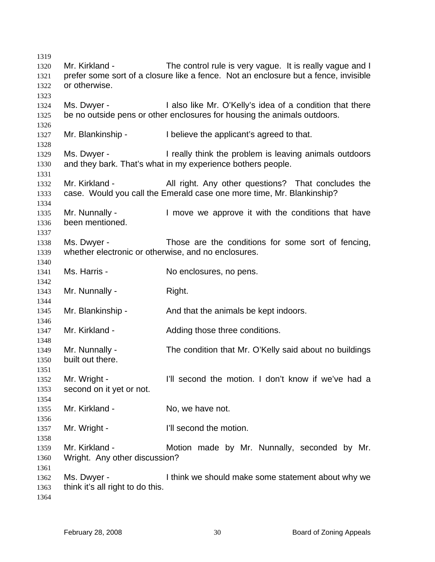Mr. Kirkland - The control rule is very vague. It is really vague and I prefer some sort of a closure like a fence. Not an enclosure but a fence, invisible or otherwise. Ms. Dwyer - I also like Mr. O'Kelly's idea of a condition that there be no outside pens or other enclosures for housing the animals outdoors. Mr. Blankinship - I believe the applicant's agreed to that. Ms. Dwyer - I really think the problem is leaving animals outdoors and they bark. That's what in my experience bothers people. Mr. Kirkland - All right. Any other questions? That concludes the case. Would you call the Emerald case one more time, Mr. Blankinship? Mr. Nunnally - I move we approve it with the conditions that have been mentioned. Ms. Dwyer - Those are the conditions for some sort of fencing, whether electronic or otherwise, and no enclosures. Ms. Harris - No enclosures, no pens. Mr. Nunnally - Right. Mr. Blankinship - The And that the animals be kept indoors. Mr. Kirkland - The Adding those three conditions. Mr. Nunnally - The condition that Mr. O'Kelly said about no buildings built out there. Mr. Wright - The I'll second the motion. I don't know if we've had a second on it yet or not. Mr. Kirkland - No, we have not. Mr. Wright - The Ull second the motion. Mr. Kirkland - The Motion made by Mr. Nunnally, seconded by Mr. Wright. Any other discussion? Ms. Dwyer - I think we should make some statement about why we think it's all right to do this.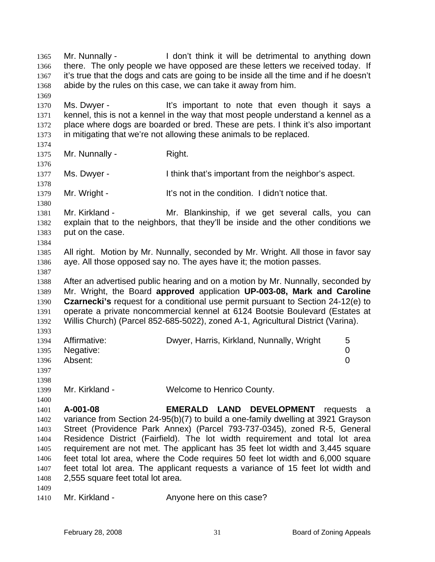Mr. Nunnally - I don't think it will be detrimental to anything down there. The only people we have opposed are these letters we received today. If it's true that the dogs and cats are going to be inside all the time and if he doesn't abide by the rules on this case, we can take it away from him. 1365 1366 1367 1368 1369 1370 1371 1372 1373 1374 1375 1376 1377 1378 1379 1380 1381 1382 1383 1384 1385 1386 1387 1388 1389 1390 1391 1392 1393 1394 1395 1396 1397 1398 1399 1400 1401 1402 1403 1404 1405 1406 1407 1408 1409 Ms. Dwyer - It's important to note that even though it says a kennel, this is not a kennel in the way that most people understand a kennel as a place where dogs are boarded or bred. These are pets. I think it's also important in mitigating that we're not allowing these animals to be replaced. Mr. Nunnally - Right. Ms. Dwyer - I think that's important from the neighbor's aspect. Mr. Wright - It's not in the condition. I didn't notice that. Mr. Kirkland - The Mr. Blankinship, if we get several calls, you can explain that to the neighbors, that they'll be inside and the other conditions we put on the case. All right. Motion by Mr. Nunnally, seconded by Mr. Wright. All those in favor say aye. All those opposed say no. The ayes have it; the motion passes. After an advertised public hearing and on a motion by Mr. Nunnally, seconded by Mr. Wright, the Board **approved** application **UP-003-08, Mark and Caroline Czarnecki's** request for a conditional use permit pursuant to Section 24-12(e) to operate a private noncommercial kennel at 6124 Bootsie Boulevard (Estates at Willis Church) (Parcel 852-685-5022), zoned A-1, Agricultural District (Varina). Affirmative: Dwyer, Harris, Kirkland, Nunnally, Wright 5 Negative: 0 Absent: 0 Mr. Kirkland - Welcome to Henrico County. **A-001-08 EMERALD LAND DEVELOPMENT** requests a variance from Section 24-95(b)(7) to build a one-family dwelling at 3921 Grayson Street (Providence Park Annex) (Parcel 793-737-0345), zoned R-5, General Residence District (Fairfield). The lot width requirement and total lot area requirement are not met. The applicant has 35 feet lot width and 3,445 square feet total lot area, where the Code requires 50 feet lot width and 6,000 square feet total lot area. The applicant requests a variance of 15 feet lot width and 2,555 square feet total lot area.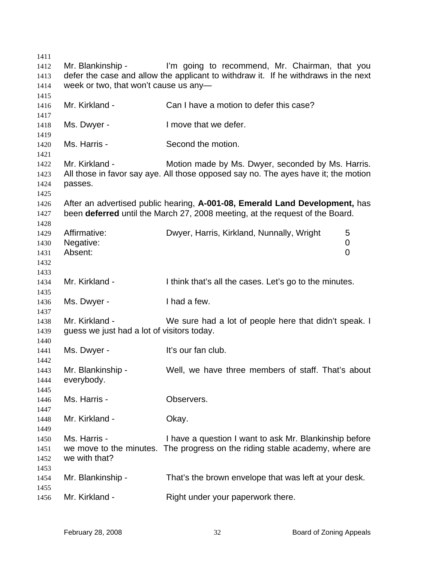| 1411 |                                            |                                                                                    |   |
|------|--------------------------------------------|------------------------------------------------------------------------------------|---|
| 1412 | Mr. Blankinship -                          | I'm going to recommend, Mr. Chairman, that you                                     |   |
| 1413 |                                            | defer the case and allow the applicant to withdraw it. If he withdraws in the next |   |
| 1414 | week or two, that won't cause us any-      |                                                                                    |   |
| 1415 |                                            |                                                                                    |   |
| 1416 | Mr. Kirkland -                             | Can I have a motion to defer this case?                                            |   |
| 1417 |                                            |                                                                                    |   |
| 1418 | Ms. Dwyer -                                | I move that we defer.                                                              |   |
| 1419 |                                            |                                                                                    |   |
| 1420 | Ms. Harris -                               | Second the motion.                                                                 |   |
| 1421 |                                            |                                                                                    |   |
| 1422 | Mr. Kirkland -                             | Motion made by Ms. Dwyer, seconded by Ms. Harris.                                  |   |
| 1423 |                                            | All those in favor say aye. All those opposed say no. The ayes have it; the motion |   |
| 1424 | passes.                                    |                                                                                    |   |
| 1425 |                                            |                                                                                    |   |
| 1426 |                                            | After an advertised public hearing, A-001-08, Emerald Land Development, has        |   |
| 1427 |                                            | been deferred until the March 27, 2008 meeting, at the request of the Board.       |   |
| 1428 |                                            |                                                                                    |   |
| 1429 | Affirmative:                               | Dwyer, Harris, Kirkland, Nunnally, Wright                                          | 5 |
| 1430 | Negative:                                  |                                                                                    | 0 |
| 1431 | Absent:                                    |                                                                                    | 0 |
| 1432 |                                            |                                                                                    |   |
| 1433 |                                            |                                                                                    |   |
| 1434 | Mr. Kirkland -                             | I think that's all the cases. Let's go to the minutes.                             |   |
| 1435 |                                            |                                                                                    |   |
| 1436 | Ms. Dwyer -                                | I had a few.                                                                       |   |
| 1437 |                                            |                                                                                    |   |
| 1438 | Mr. Kirkland -                             | We sure had a lot of people here that didn't speak. I                              |   |
| 1439 | guess we just had a lot of visitors today. |                                                                                    |   |
| 1440 |                                            |                                                                                    |   |
| 1441 | Ms. Dwyer -                                | It's our fan club.                                                                 |   |
| 1442 |                                            |                                                                                    |   |
| 1443 | Mr. Blankinship -                          | Well, we have three members of staff. That's about                                 |   |
| 1444 | everybody.                                 |                                                                                    |   |
| 1445 |                                            |                                                                                    |   |
| 1446 | Ms. Harris -                               | Observers.                                                                         |   |
| 1447 |                                            |                                                                                    |   |
| 1448 | Mr. Kirkland -                             | Okay.                                                                              |   |
| 1449 |                                            |                                                                                    |   |
| 1450 | Ms. Harris -                               | I have a question I want to ask Mr. Blankinship before                             |   |
| 1451 | we move to the minutes.                    | The progress on the riding stable academy, where are                               |   |
| 1452 | we with that?                              |                                                                                    |   |
| 1453 |                                            |                                                                                    |   |
| 1454 | Mr. Blankinship -                          | That's the brown envelope that was left at your desk.                              |   |
| 1455 |                                            |                                                                                    |   |
| 1456 | Mr. Kirkland -                             | Right under your paperwork there.                                                  |   |
|      |                                            |                                                                                    |   |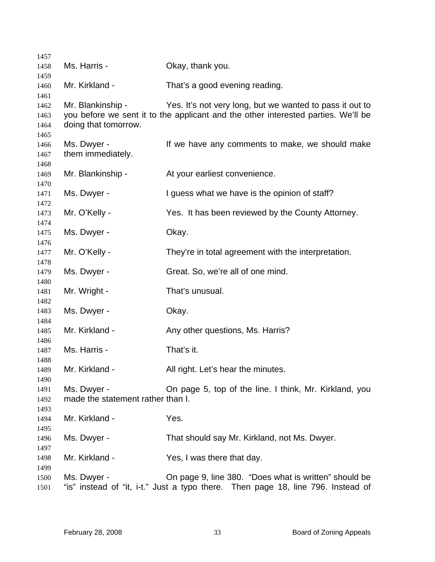| 1457                         |                                                  |                                                                                                                                               |
|------------------------------|--------------------------------------------------|-----------------------------------------------------------------------------------------------------------------------------------------------|
| 1458                         | Ms. Harris -                                     | Okay, thank you.                                                                                                                              |
| 1459<br>1460                 | Mr. Kirkland -                                   | That's a good evening reading.                                                                                                                |
| 1461<br>1462<br>1463<br>1464 | Mr. Blankinship -<br>doing that tomorrow.        | Yes. It's not very long, but we wanted to pass it out to<br>you before we sent it to the applicant and the other interested parties. We'll be |
| 1465<br>1466<br>1467         | Ms. Dwyer -<br>them immediately.                 | If we have any comments to make, we should make                                                                                               |
| 1468<br>1469                 | Mr. Blankinship -                                | At your earliest convenience.                                                                                                                 |
| 1470<br>1471                 | Ms. Dwyer -                                      | I guess what we have is the opinion of staff?                                                                                                 |
| 1472<br>1473<br>1474         | Mr. O'Kelly -                                    | Yes. It has been reviewed by the County Attorney.                                                                                             |
| 1475<br>1476                 | Ms. Dwyer -                                      | Okay.                                                                                                                                         |
| 1477<br>1478                 | Mr. O'Kelly -                                    | They're in total agreement with the interpretation.                                                                                           |
| 1479<br>1480                 | Ms. Dwyer -                                      | Great. So, we're all of one mind.                                                                                                             |
| 1481                         | Mr. Wright -                                     | That's unusual.                                                                                                                               |
| 1482<br>1483<br>1484         | Ms. Dwyer -                                      | Okay.                                                                                                                                         |
| 1485                         | Mr. Kirkland -                                   | Any other questions, Ms. Harris?                                                                                                              |
| 1486<br>1487                 | Ms. Harris -                                     | That's it.                                                                                                                                    |
| 1488<br>1489                 | Mr. Kirkland -                                   | All right. Let's hear the minutes.                                                                                                            |
| 1490<br>1491<br>1492<br>1493 | Ms. Dwyer -<br>made the statement rather than I. | On page 5, top of the line. I think, Mr. Kirkland, you                                                                                        |
| 1494<br>1495                 | Mr. Kirkland -                                   | Yes.                                                                                                                                          |
| 1496<br>1497                 | Ms. Dwyer -                                      | That should say Mr. Kirkland, not Ms. Dwyer.                                                                                                  |
| 1498<br>1499                 | Mr. Kirkland -                                   | Yes, I was there that day.                                                                                                                    |
| 1500<br>1501                 | Ms. Dwyer -                                      | On page 9, line 380. "Does what is written" should be<br>"is" instead of "it, i-t." Just a typo there. Then page 18, line 796. Instead of     |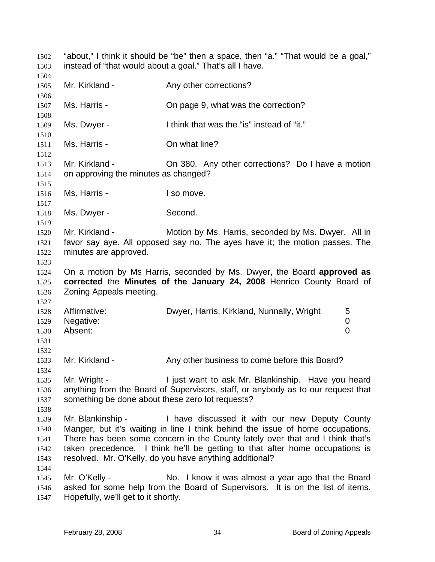"about," I think it should be "be" then a space, then "a." "That would be a goal," instead of "that would about a goal." That's all I have. 1502 1503 1504 1505 1506 1507 1508 1509 1510 1511 1512 1513 1514 1515 1516 1517 1518 1519 1520 1521 1522 1523 1524 1525 1526 1527 1528 1529 1530 1531 1532 1533 1534 1535 1536 1537 1538 1539 1540 1541 1542 1543 1544 1545 1546 1547 Mr. Kirkland - The Any other corrections? Ms. Harris - Chipage 9, what was the correction? Ms. Dwyer - I think that was the "is" instead of "it." Ms. Harris - Chi what line? Mr. Kirkland - Chi 380. Any other corrections? Do I have a motion on approving the minutes as changed? Ms. Harris - The I so move. Ms. Dwyer - Second. Mr. Kirkland - **Motion by Ms. Harris, seconded by Ms. Dwyer.** All in favor say aye. All opposed say no. The ayes have it; the motion passes. The minutes are approved. On a motion by Ms Harris, seconded by Ms. Dwyer, the Board **approved as corrected** the **Minutes of the January 24, 2008** Henrico County Board of Zoning Appeals meeting. Affirmative: Dwyer, Harris, Kirkland, Nunnally, Wright 5 Negative: 0 Absent: 0 Mr. Kirkland - Any other business to come before this Board? Mr. Wright - **I** just want to ask Mr. Blankinship. Have you heard anything from the Board of Supervisors, staff, or anybody as to our request that something be done about these zero lot requests? Mr. Blankinship - Thave discussed it with our new Deputy County Manger, but it's waiting in line I think behind the issue of home occupations. There has been some concern in the County lately over that and I think that's taken precedence. I think he'll be getting to that after home occupations is resolved. Mr. O'Kelly, do you have anything additional? Mr. O'Kelly - No. I know it was almost a year ago that the Board asked for some help from the Board of Supervisors. It is on the list of items. Hopefully, we'll get to it shortly.